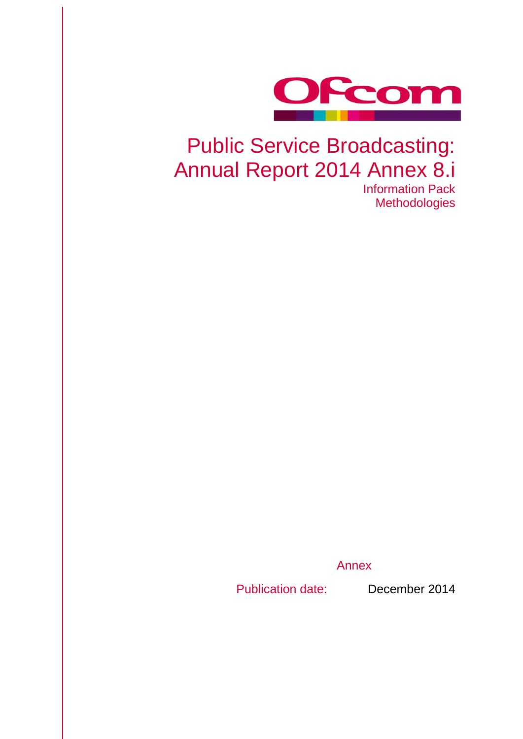

# Public Service Broadcasting: Annual Report 2014 Annex 8.i

Information Pack **Methodologies** 

Annex

Publication date: December 2014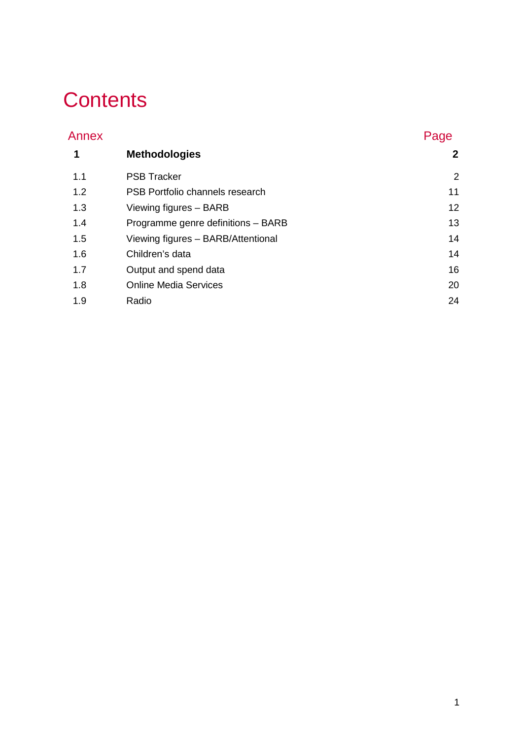# **Contents**

| Annex |                                    | Page         |
|-------|------------------------------------|--------------|
| 1     | <b>Methodologies</b>               | $\mathbf{2}$ |
| 1.1   | <b>PSB Tracker</b>                 | 2            |
| 1.2   | PSB Portfolio channels research    | 11           |
| 1.3   | Viewing figures - BARB             | 12           |
| 1.4   | Programme genre definitions - BARB | 13           |
| 1.5   | Viewing figures - BARB/Attentional | 14           |
| 1.6   | Children's data                    | 14           |
| 1.7   | Output and spend data              | 16           |
| 1.8   | <b>Online Media Services</b>       | 20           |
| 1.9   | Radio                              | 24           |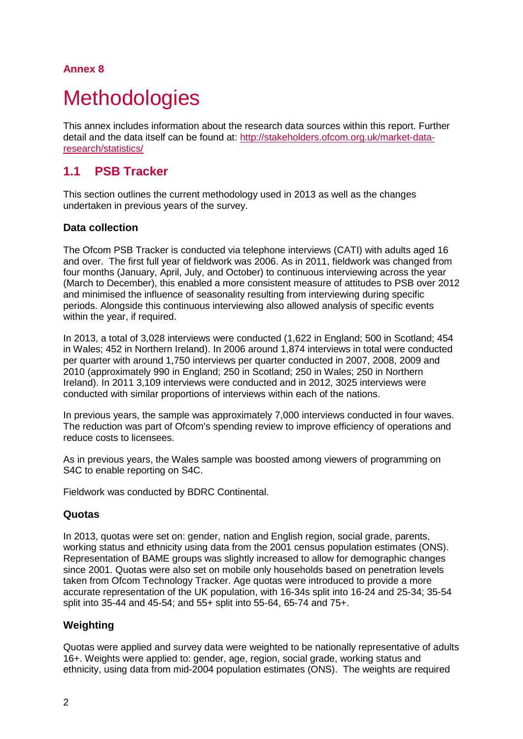## **Annex 8**

# <span id="page-2-0"></span>**Methodologies**

This annex includes information about the research data sources within this report. Further detail and the data itself can be found at: [http://stakeholders.ofcom.org.uk/market-data](http://stakeholders.ofcom.org.uk/market-data-research/statistics/)[research/statistics/](http://stakeholders.ofcom.org.uk/market-data-research/statistics/)

# <span id="page-2-1"></span>**1.1 PSB Tracker**

This section outlines the current methodology used in 2013 as well as the changes undertaken in previous years of the survey.

#### **Data collection**

The Ofcom PSB Tracker is conducted via telephone interviews (CATI) with adults aged 16 and over. The first full year of fieldwork was 2006. As in 2011, fieldwork was changed from four months (January, April, July, and October) to continuous interviewing across the year (March to December), this enabled a more consistent measure of attitudes to PSB over 2012 and minimised the influence of seasonality resulting from interviewing during specific periods. Alongside this continuous interviewing also allowed analysis of specific events within the year, if required.

In 2013, a total of 3,028 interviews were conducted (1,622 in England; 500 in Scotland; 454 in Wales; 452 in Northern Ireland). In 2006 around 1,874 interviews in total were conducted per quarter with around 1,750 interviews per quarter conducted in 2007, 2008, 2009 and 2010 (approximately 990 in England; 250 in Scotland; 250 in Wales; 250 in Northern Ireland). In 2011 3,109 interviews were conducted and in 2012, 3025 interviews were conducted with similar proportions of interviews within each of the nations.

In previous years, the sample was approximately 7,000 interviews conducted in four waves. The reduction was part of Ofcom's spending review to improve efficiency of operations and reduce costs to licensees.

As in previous years, the Wales sample was boosted among viewers of programming on S4C to enable reporting on S4C.

Fieldwork was conducted by BDRC Continental.

#### **Quotas**

In 2013, quotas were set on: gender, nation and English region, social grade, parents, working status and ethnicity using data from the 2001 census population estimates (ONS). Representation of BAME groups was slightly increased to allow for demographic changes since 2001. Quotas were also set on mobile only households based on penetration levels taken from Ofcom Technology Tracker. Age quotas were introduced to provide a more accurate representation of the UK population, with 16-34s split into 16-24 and 25-34; 35-54 split into 35-44 and 45-54; and 55+ split into 55-64, 65-74 and 75+.

## **Weighting**

Quotas were applied and survey data were weighted to be nationally representative of adults 16+. Weights were applied to: gender, age, region, social grade, working status and ethnicity, using data from mid-2004 population estimates (ONS). The weights are required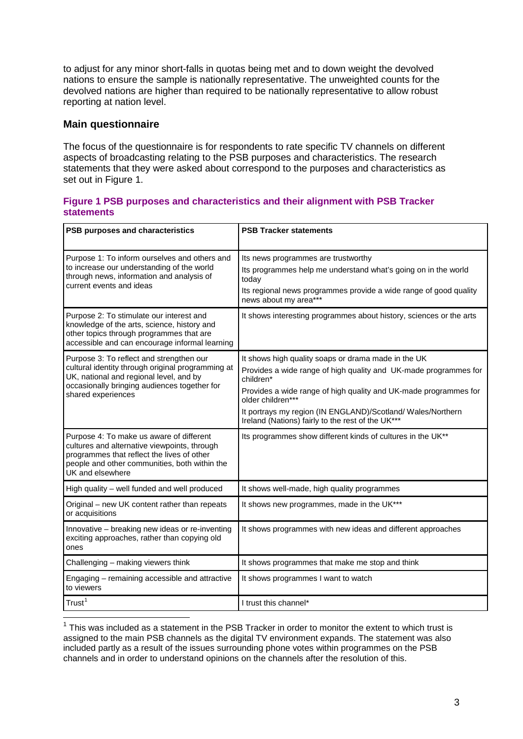to adjust for any minor short-falls in quotas being met and to down weight the devolved nations to ensure the sample is nationally representative. The unweighted counts for the devolved nations are higher than required to be nationally representative to allow robust reporting at nation level.

#### **Main questionnaire**

-

The focus of the questionnaire is for respondents to rate specific TV channels on different aspects of broadcasting relating to the PSB purposes and characteristics. The research statements that they were asked about correspond to the purposes and characteristics as set out in Figure 1.

#### **Figure 1 PSB purposes and characteristics and their alignment with PSB Tracker statements**

| PSB purposes and characteristics                                                                                                                                                                               | <b>PSB Tracker statements</b>                                                                                                                                                                                                                                                                                                                    |
|----------------------------------------------------------------------------------------------------------------------------------------------------------------------------------------------------------------|--------------------------------------------------------------------------------------------------------------------------------------------------------------------------------------------------------------------------------------------------------------------------------------------------------------------------------------------------|
| Purpose 1: To inform ourselves and others and<br>to increase our understanding of the world<br>through news, information and analysis of<br>current events and ideas                                           | Its news programmes are trustworthy<br>Its programmes help me understand what's going on in the world<br>today<br>Its regional news programmes provide a wide range of good quality<br>news about my area***                                                                                                                                     |
| Purpose 2: To stimulate our interest and<br>knowledge of the arts, science, history and<br>other topics through programmes that are<br>accessible and can encourage informal learning                          | It shows interesting programmes about history, sciences or the arts                                                                                                                                                                                                                                                                              |
| Purpose 3: To reflect and strengthen our<br>cultural identity through original programming at<br>UK, national and regional level, and by<br>occasionally bringing audiences together for<br>shared experiences | It shows high quality soaps or drama made in the UK<br>Provides a wide range of high quality and UK-made programmes for<br>children*<br>Provides a wide range of high quality and UK-made programmes for<br>older children***<br>It portrays my region (IN ENGLAND)/Scotland/Wales/Northern<br>Ireland (Nations) fairly to the rest of the UK*** |
| Purpose 4: To make us aware of different<br>cultures and alternative viewpoints, through<br>programmes that reflect the lives of other<br>people and other communities, both within the<br>UK and elsewhere    | Its programmes show different kinds of cultures in the UK**                                                                                                                                                                                                                                                                                      |
| High quality - well funded and well produced                                                                                                                                                                   | It shows well-made, high quality programmes                                                                                                                                                                                                                                                                                                      |
| Original - new UK content rather than repeats<br>or acquisitions                                                                                                                                               | It shows new programmes, made in the UK***                                                                                                                                                                                                                                                                                                       |
| Innovative - breaking new ideas or re-inventing<br>exciting approaches, rather than copying old<br>ones                                                                                                        | It shows programmes with new ideas and different approaches                                                                                                                                                                                                                                                                                      |
| Challenging - making viewers think                                                                                                                                                                             | It shows programmes that make me stop and think                                                                                                                                                                                                                                                                                                  |
| Engaging - remaining accessible and attractive<br>to viewers                                                                                                                                                   | It shows programmes I want to watch                                                                                                                                                                                                                                                                                                              |
| Trust <sup>1</sup>                                                                                                                                                                                             | I trust this channel*                                                                                                                                                                                                                                                                                                                            |

<span id="page-3-0"></span> $1$  This was included as a statement in the PSB Tracker in order to monitor the extent to which trust is assigned to the main PSB channels as the digital TV environment expands. The statement was also included partly as a result of the issues surrounding phone votes within programmes on the PSB channels and in order to understand opinions on the channels after the resolution of this.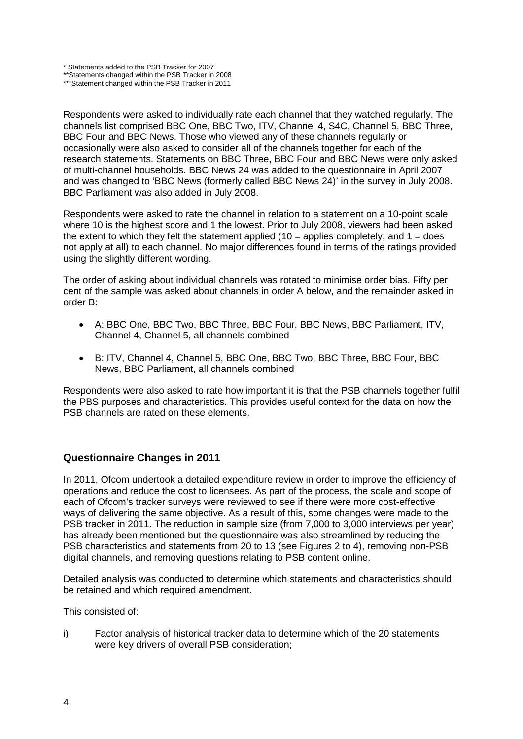\* Statements added to the PSB Tracker for 2007

\*\*Statements changed within the PSB Tracker in 2008 \*\*\*Statement changed within the PSB Tracker in 2011

Respondents were asked to individually rate each channel that they watched regularly. The channels list comprised BBC One, BBC Two, ITV, Channel 4, S4C, Channel 5, BBC Three, BBC Four and BBC News. Those who viewed any of these channels regularly or occasionally were also asked to consider all of the channels together for each of the research statements. Statements on BBC Three, BBC Four and BBC News were only asked of multi-channel households. BBC News 24 was added to the questionnaire in April 2007 and was changed to 'BBC News (formerly called BBC News 24)' in the survey in July 2008. BBC Parliament was also added in July 2008.

Respondents were asked to rate the channel in relation to a statement on a 10-point scale where 10 is the highest score and 1 the lowest. Prior to July 2008, viewers had been asked the extent to which they felt the statement applied (10 = applies completely; and  $1 =$  does not apply at all) to each channel. No major differences found in terms of the ratings provided using the slightly different wording.

The order of asking about individual channels was rotated to minimise order bias. Fifty per cent of the sample was asked about channels in order A below, and the remainder asked in order B:

- A: BBC One, BBC Two, BBC Three, BBC Four, BBC News, BBC Parliament, ITV, Channel 4, Channel 5, all channels combined
- B: ITV, Channel 4, Channel 5, BBC One, BBC Two, BBC Three, BBC Four, BBC News, BBC Parliament, all channels combined

Respondents were also asked to rate how important it is that the PSB channels together fulfil the PBS purposes and characteristics. This provides useful context for the data on how the PSB channels are rated on these elements.

#### **Questionnaire Changes in 2011**

In 2011, Ofcom undertook a detailed expenditure review in order to improve the efficiency of operations and reduce the cost to licensees. As part of the process, the scale and scope of each of Ofcom's tracker surveys were reviewed to see if there were more cost-effective ways of delivering the same objective. As a result of this, some changes were made to the PSB tracker in 2011. The reduction in sample size (from 7,000 to 3,000 interviews per year) has already been mentioned but the questionnaire was also streamlined by reducing the PSB characteristics and statements from 20 to 13 (see Figures 2 to 4), removing non-PSB digital channels, and removing questions relating to PSB content online.

Detailed analysis was conducted to determine which statements and characteristics should be retained and which required amendment.

This consisted of:

i) Factor analysis of historical tracker data to determine which of the 20 statements were key drivers of overall PSB consideration;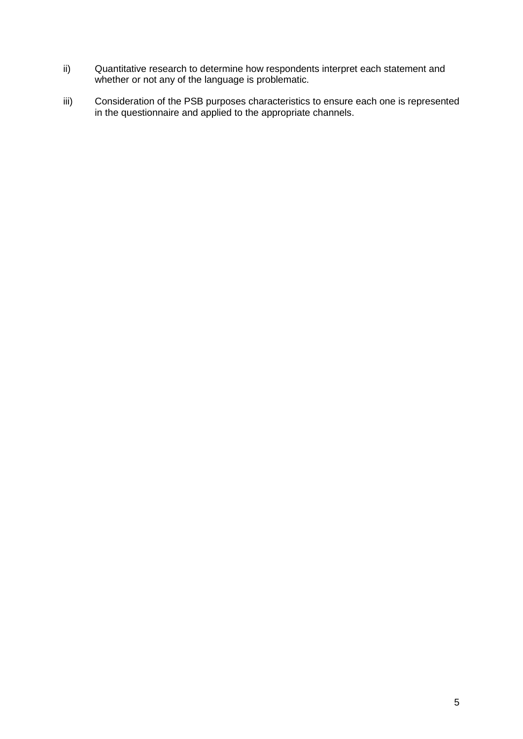- ii) Quantitative research to determine how respondents interpret each statement and whether or not any of the language is problematic.
- iii) Consideration of the PSB purposes characteristics to ensure each one is represented in the questionnaire and applied to the appropriate channels.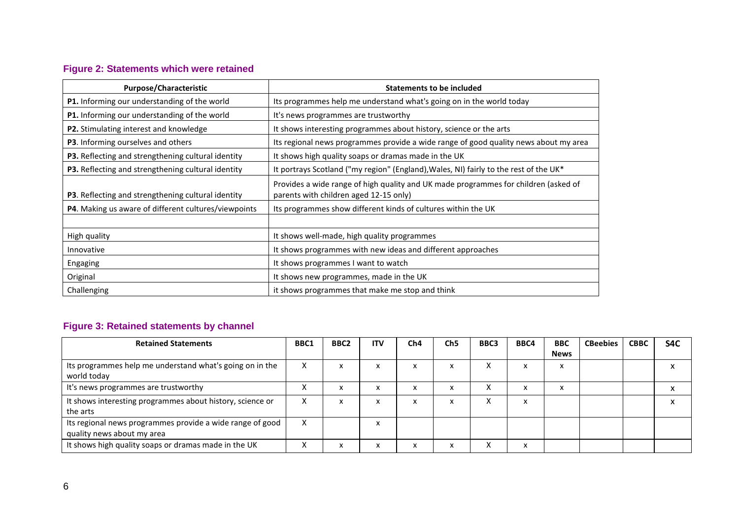# **Figure 2: Statements which were retained**

| Purpose/Characteristic                                      | <b>Statements to be included</b>                                                                                              |
|-------------------------------------------------------------|-------------------------------------------------------------------------------------------------------------------------------|
| <b>P1.</b> Informing our understanding of the world         | Its programmes help me understand what's going on in the world today                                                          |
| <b>P1.</b> Informing our understanding of the world         | It's news programmes are trustworthy                                                                                          |
| <b>P2.</b> Stimulating interest and knowledge               | It shows interesting programmes about history, science or the arts                                                            |
| <b>P3</b> . Informing ourselves and others                  | Its regional news programmes provide a wide range of good quality news about my area                                          |
| P3. Reflecting and strengthening cultural identity          | It shows high quality soaps or dramas made in the UK                                                                          |
| P3. Reflecting and strengthening cultural identity          | It portrays Scotland ("my region" (England), Wales, NI) fairly to the rest of the UK*                                         |
| <b>P3</b> . Reflecting and strengthening cultural identity  | Provides a wide range of high quality and UK made programmes for children (asked of<br>parents with children aged 12-15 only) |
| <b>P4.</b> Making us aware of different cultures/viewpoints | Its programmes show different kinds of cultures within the UK                                                                 |
|                                                             |                                                                                                                               |
| High quality                                                | It shows well-made, high quality programmes                                                                                   |
| Innovative                                                  | It shows programmes with new ideas and different approaches                                                                   |
| Engaging                                                    | It shows programmes I want to watch                                                                                           |
| Original                                                    | It shows new programmes, made in the UK                                                                                       |
| Challenging                                                 | it shows programmes that make me stop and think                                                                               |

# **Figure 3: Retained statements by channel**

| <b>Retained Statements</b>                                                              | BBC1              | BBC <sub>2</sub>                  | <b>ITV</b> | Ch4 | Ch <sub>5</sub> | BBC3 | BBC4      | <b>BBC</b>  | <b>CBeebies</b> | <b>CBBC</b> | S4C          |
|-----------------------------------------------------------------------------------------|-------------------|-----------------------------------|------------|-----|-----------------|------|-----------|-------------|-----------------|-------------|--------------|
|                                                                                         |                   |                                   |            |     |                 |      |           | <b>News</b> |                 |             |              |
| Its programmes help me understand what's going on in the<br>world today                 | x                 | $\ddot{\phantom{0}}$<br>$\lambda$ | x          | ᄉ   | x               |      |           | x           |                 |             | $\lambda$    |
| It's news programmes are trustworthy                                                    | ⌒                 | $\ddot{\phantom{0}}$<br>$\lambda$ | x          |     | x               |      |           | x           |                 |             | $\mathbf{v}$ |
| It shows interesting programmes about history, science or<br>the arts                   | $\sim$            | $\lambda$                         | x          | ᄉ   | х               |      | $\lambda$ |             |                 |             | л            |
| Its regional news programmes provide a wide range of good<br>quality news about my area | $\checkmark$<br>^ |                                   | Λ          |     |                 |      |           |             |                 |             |              |
| It shows high quality soaps or dramas made in the UK                                    | Λ                 |                                   | $\lambda$  |     | x               |      |           |             |                 |             |              |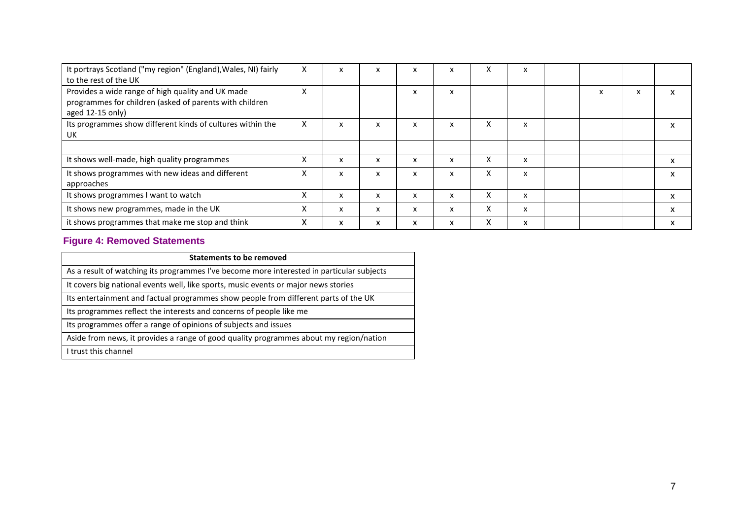| It portrays Scotland ("my region" (England), Wales, NI) fairly<br>to the rest of the UK                                          | $\times$ | x                         | X | x | x | A | x |  |   |   |
|----------------------------------------------------------------------------------------------------------------------------------|----------|---------------------------|---|---|---|---|---|--|---|---|
| Provides a wide range of high quality and UK made<br>programmes for children (asked of parents with children<br>aged 12-15 only) | v        |                           |   | x | x |   |   |  | X | X |
| Its programmes show different kinds of cultures within the<br>UK                                                                 | X        | x                         | X | x | x | X | x |  |   | x |
|                                                                                                                                  |          |                           |   |   |   |   |   |  |   |   |
| It shows well-made, high quality programmes                                                                                      | X        | X                         | x | x | x | X | x |  |   | X |
| It shows programmes with new ideas and different<br>approaches                                                                   | X        | $\boldsymbol{\mathsf{x}}$ | X | x | x | X | x |  |   | X |
| It shows programmes I want to watch                                                                                              | X        | x                         | X | x | x | X | x |  |   | X |
| It shows new programmes, made in the UK                                                                                          | X        | X                         | X | x | x | X | x |  |   | X |
| it shows programmes that make me stop and think                                                                                  | л        | X                         | X | x | x | X | x |  |   | X |

## **Figure 4: Removed Statements**

| <b>Statements to be removed</b>                                                           |
|-------------------------------------------------------------------------------------------|
| As a result of watching its programmes I've become more interested in particular subjects |
| It covers big national events well, like sports, music events or major news stories       |
| Its entertainment and factual programmes show people from different parts of the UK       |
| Its programmes reflect the interests and concerns of people like me                       |
| Its programmes offer a range of opinions of subjects and issues                           |
| Aside from news, it provides a range of good quality programmes about my region/nation    |
| I trust this channel                                                                      |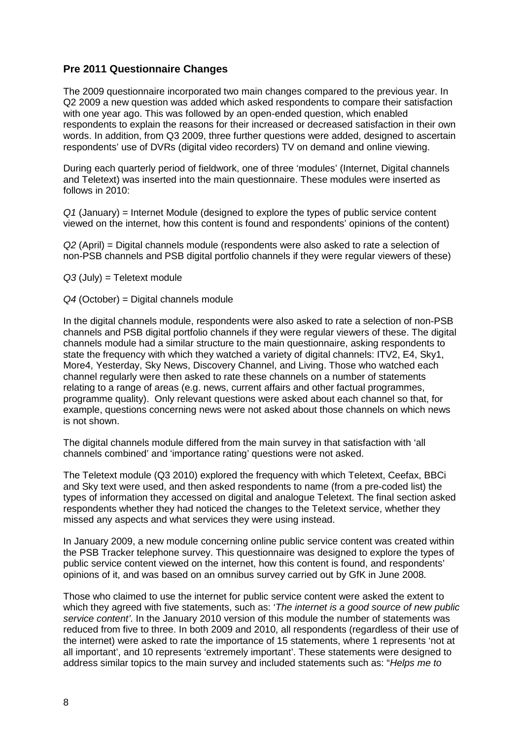#### **Pre 2011 Questionnaire Changes**

The 2009 questionnaire incorporated two main changes compared to the previous year. In Q2 2009 a new question was added which asked respondents to compare their satisfaction with one year ago. This was followed by an open-ended question, which enabled respondents to explain the reasons for their increased or decreased satisfaction in their own words. In addition, from Q3 2009, three further questions were added, designed to ascertain respondents' use of DVRs (digital video recorders) TV on demand and online viewing.

During each quarterly period of fieldwork, one of three 'modules' (Internet, Digital channels and Teletext) was inserted into the main questionnaire. These modules were inserted as follows in 2010:

*Q1* (January) = Internet Module (designed to explore the types of public service content viewed on the internet, how this content is found and respondents' opinions of the content)

*Q2* (April) = Digital channels module (respondents were also asked to rate a selection of non-PSB channels and PSB digital portfolio channels if they were regular viewers of these)

*Q3* (July) = Teletext module

*Q4* (October) = Digital channels module

In the digital channels module, respondents were also asked to rate a selection of non-PSB channels and PSB digital portfolio channels if they were regular viewers of these. The digital channels module had a similar structure to the main questionnaire, asking respondents to state the frequency with which they watched a variety of digital channels: ITV2, E4, Sky1, More4, Yesterday, Sky News, Discovery Channel, and Living. Those who watched each channel regularly were then asked to rate these channels on a number of statements relating to a range of areas (e.g. news, current affairs and other factual programmes, programme quality). Only relevant questions were asked about each channel so that, for example, questions concerning news were not asked about those channels on which news is not shown.

The digital channels module differed from the main survey in that satisfaction with 'all channels combined' and 'importance rating' questions were not asked.

The Teletext module (Q3 2010) explored the frequency with which Teletext, Ceefax, BBCi and Sky text were used, and then asked respondents to name (from a pre-coded list) the types of information they accessed on digital and analogue Teletext. The final section asked respondents whether they had noticed the changes to the Teletext service, whether they missed any aspects and what services they were using instead.

In January 2009, a new module concerning online public service content was created within the PSB Tracker telephone survey. This questionnaire was designed to explore the types of public service content viewed on the internet, how this content is found, and respondents' opinions of it, and was based on an omnibus survey carried out by GfK in June 2008.

Those who claimed to use the internet for public service content were asked the extent to which they agreed with five statements, such as: '*The internet is a good source of new public service content'*. In the January 2010 version of this module the number of statements was reduced from five to three. In both 2009 and 2010, all respondents (regardless of their use of the internet) were asked to rate the importance of 15 statements, where 1 represents 'not at all important', and 10 represents 'extremely important'. These statements were designed to address similar topics to the main survey and included statements such as: "*Helps me to*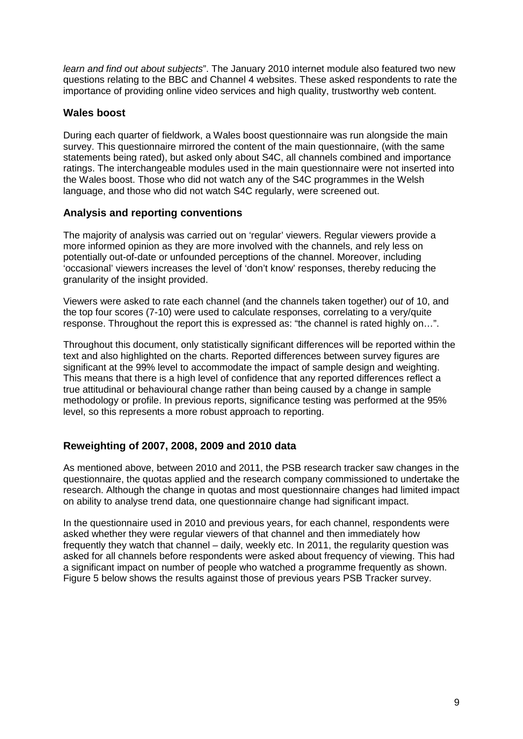*learn and find out about subjects*". The January 2010 internet module also featured two new questions relating to the BBC and Channel 4 websites. These asked respondents to rate the importance of providing online video services and high quality, trustworthy web content.

#### **Wales boost**

During each quarter of fieldwork, a Wales boost questionnaire was run alongside the main survey. This questionnaire mirrored the content of the main questionnaire, (with the same statements being rated), but asked only about S4C, all channels combined and importance ratings. The interchangeable modules used in the main questionnaire were not inserted into the Wales boost. Those who did not watch any of the S4C programmes in the Welsh language, and those who did not watch S4C regularly, were screened out.

#### **Analysis and reporting conventions**

The majority of analysis was carried out on 'regular' viewers. Regular viewers provide a more informed opinion as they are more involved with the channels, and rely less on potentially out-of-date or unfounded perceptions of the channel. Moreover, including 'occasional' viewers increases the level of 'don't know' responses, thereby reducing the granularity of the insight provided.

Viewers were asked to rate each channel (and the channels taken together) ou*t* of 10, and the top four scores (7-10) were used to calculate responses, correlating to a very/quite response. Throughout the report this is expressed as: "the channel is rated highly on…".

Throughout this document, only statistically significant differences will be reported within the text and also highlighted on the charts. Reported differences between survey figures are significant at the 99% level to accommodate the impact of sample design and weighting. This means that there is a high level of confidence that any reported differences reflect a true attitudinal or behavioural change rather than being caused by a change in sample methodology or profile. In previous reports, significance testing was performed at the 95% level, so this represents a more robust approach to reporting.

#### **Reweighting of 2007, 2008, 2009 and 2010 data**

As mentioned above, between 2010 and 2011, the PSB research tracker saw changes in the questionnaire, the quotas applied and the research company commissioned to undertake the research. Although the change in quotas and most questionnaire changes had limited impact on ability to analyse trend data, one questionnaire change had significant impact.

In the questionnaire used in 2010 and previous years, for each channel, respondents were asked whether they were regular viewers of that channel and then immediately how frequently they watch that channel – daily, weekly etc. In 2011, the regularity question was asked for all channels before respondents were asked about frequency of viewing. This had a significant impact on number of people who watched a programme frequently as shown. Figure 5 below shows the results against those of previous years PSB Tracker survey.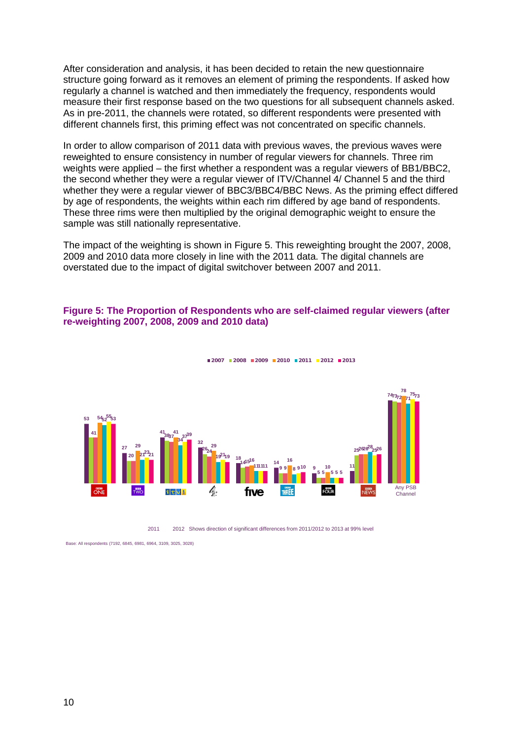After consideration and analysis, it has been decided to retain the new questionnaire structure going forward as it removes an element of priming the respondents. If asked how regularly a channel is watched and then immediately the frequency, respondents would measure their first response based on the two questions for all subsequent channels asked. As in pre-2011, the channels were rotated, so different respondents were presented with different channels first, this priming effect was not concentrated on specific channels.

In order to allow comparison of 2011 data with previous waves, the previous waves were reweighted to ensure consistency in number of regular viewers for channels. Three rim weights were applied – the first whether a respondent was a regular viewers of BB1/BBC2, the second whether they were a regular viewer of ITV/Channel 4/ Channel 5 and the third whether they were a regular viewer of BBC3/BBC4/BBC News. As the priming effect differed by age of respondents, the weights within each rim differed by age band of respondents. These three rims were then multiplied by the original demographic weight to ensure the sample was still nationally representative.

The impact of the weighting is shown in Figure 5. This reweighting brought the 2007, 2008, 2009 and 2010 data more closely in line with the 2011 data. The digital channels are overstated due to the impact of digital switchover between 2007 and 2011.

#### **Figure 5: The Proportion of Respondents who are self-claimed regular viewers (after re-weighting 2007, 2008, 2009 and 2010 data)**



**2008 2009 2010 2011 2012 2013**

2012 Shows direction of significant differences from 2011/2012 to 2013 at 99% level

Base: All respondents (7192, 6845, 6981, 6964, 3109, 3025, 3028)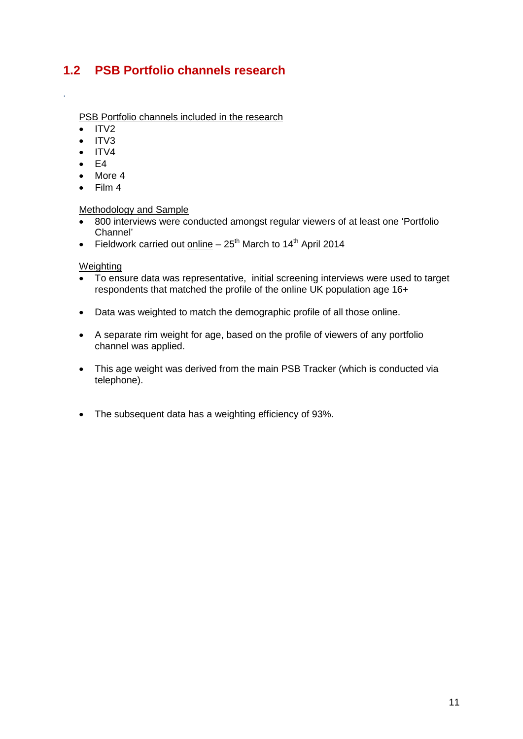# <span id="page-11-0"></span>**1.2 PSB Portfolio channels research**

PSB Portfolio channels included in the research

• ITV2

.

- ITV3
- $\bullet$  ITV4
- $\bullet$  F4
- More 4
- Film 4

#### Methodology and Sample

- 800 interviews were conducted amongst regular viewers of at least one 'Portfolio Channel'
- Fieldwork carried out online  $-25<sup>th</sup>$  March to 14<sup>th</sup> April 2014

#### Weighting

- To ensure data was representative, initial screening interviews were used to target respondents that matched the profile of the online UK population age 16+
- Data was weighted to match the demographic profile of all those online.
- A separate rim weight for age, based on the profile of viewers of any portfolio channel was applied.
- This age weight was derived from the main PSB Tracker (which is conducted via telephone).
- The subsequent data has a weighting efficiency of 93%.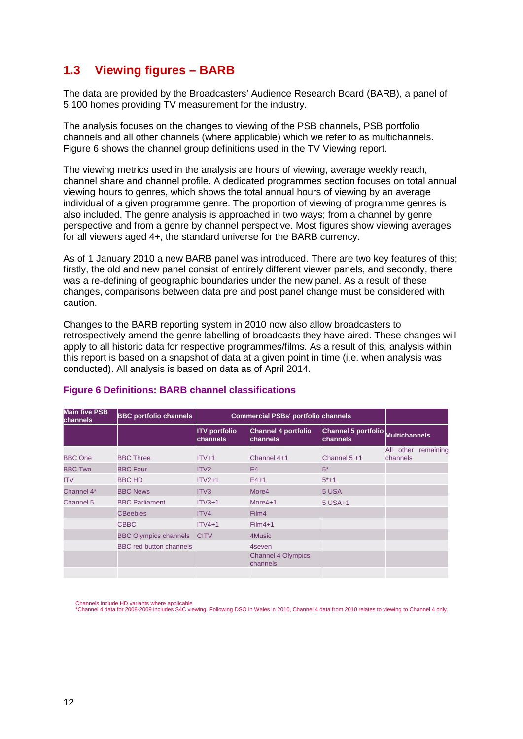# <span id="page-12-0"></span>**1.3 Viewing figures – BARB**

The data are provided by the Broadcasters' Audience Research Board (BARB), a panel of 5,100 homes providing TV measurement for the industry.

The analysis focuses on the changes to viewing of the PSB channels, PSB portfolio channels and all other channels (where applicable) which we refer to as multichannels. Figure 6 shows the channel group definitions used in the TV Viewing report.

The viewing metrics used in the analysis are hours of viewing, average weekly reach, channel share and channel profile. A dedicated programmes section focuses on total annual viewing hours to genres, which shows the total annual hours of viewing by an average individual of a given programme genre. The proportion of viewing of programme genres is also included. The genre analysis is approached in two ways; from a channel by genre perspective and from a genre by channel perspective. Most figures show viewing averages for all viewers aged 4+, the standard universe for the BARB currency.

As of 1 January 2010 a new BARB panel was introduced. There are two key features of this; firstly, the old and new panel consist of entirely different viewer panels, and secondly, there was a re-defining of geographic boundaries under the new panel. As a result of these changes, comparisons between data pre and post panel change must be considered with caution.

Changes to the BARB reporting system in 2010 now also allow broadcasters to retrospectively amend the genre labelling of broadcasts they have aired. These changes will apply to all historic data for respective programmes/films. As a result of this, analysis within this report is based on a snapshot of data at a given point in time (i.e. when analysis was conducted). All analysis is based on data as of April 2014.

| <b>Main five PSB</b><br>channels | <b>BBC portfolio channels</b>  | <b>Commercial PSBs' portfolio channels</b> |                                       |                                 |                                    |
|----------------------------------|--------------------------------|--------------------------------------------|---------------------------------------|---------------------------------|------------------------------------|
|                                  |                                | <b>ITV</b> portfolio<br>channels           | Channel 4 portfolio<br>channels       | Channel 5 portfolio<br>channels | <b>Multichannels</b>               |
| <b>BBC One</b>                   | <b>BBC Three</b>               | $ITV+1$                                    | Channel 4+1                           | Channel $5 + 1$                 | All<br>other remaining<br>channels |
| <b>BBC Two</b>                   | <b>BBC Four</b>                | ITV <sub>2</sub>                           | E <sub>4</sub>                        | $5*$                            |                                    |
| <b>ITV</b>                       | <b>BBC HD</b>                  | $ITV2+1$                                   | $E4+1$                                | $5*+1$                          |                                    |
| Channel 4*                       | <b>BBC News</b>                | ITV3                                       | More4                                 | 5 USA                           |                                    |
| Channel 5                        | <b>BBC Parliament</b>          | $ITV3+1$                                   | More4+1                               | 5 USA+1                         |                                    |
|                                  | <b>CBeebies</b>                | ITV4                                       | Film4                                 |                                 |                                    |
|                                  | <b>CBBC</b>                    | $ITV4+1$                                   | $Film4+1$                             |                                 |                                    |
|                                  | <b>BBC Olympics channels</b>   | <b>CITV</b>                                | 4Music                                |                                 |                                    |
|                                  | <b>BBC</b> red button channels |                                            | 4seven                                |                                 |                                    |
|                                  |                                |                                            | <b>Channel 4 Olympics</b><br>channels |                                 |                                    |
|                                  |                                |                                            |                                       |                                 |                                    |

#### **Figure 6 Definitions: BARB channel classifications**

Channels include HD variants where applicable

\*Channel 4 data for 2008-2009 includes S4C viewing. Following DSO in Wales in 2010, Channel 4 data from 2010 relates to viewing to Channel 4 only.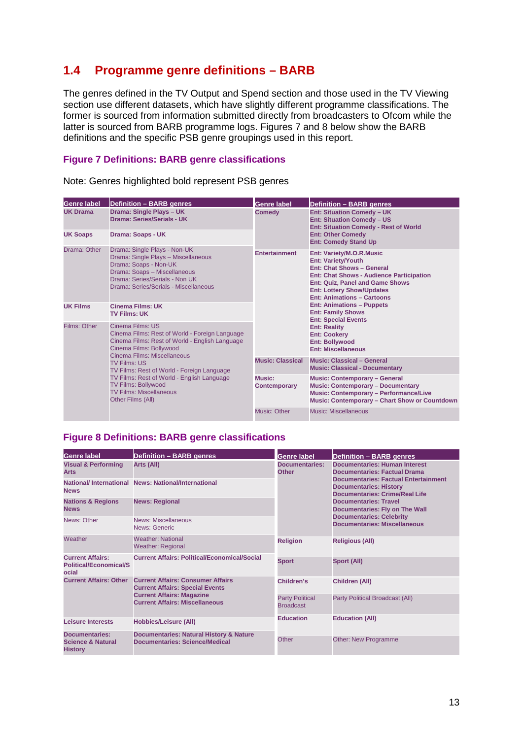# <span id="page-13-0"></span>**1.4 Programme genre definitions – BARB**

The genres defined in the TV Output and Spend section and those used in the TV Viewing section use different datasets, which have slightly different programme classifications. The former is sourced from information submitted directly from broadcasters to Ofcom while the latter is sourced from BARB programme logs. Figures 7 and 8 below show the BARB definitions and the specific PSB genre groupings used in this report.

#### **Figure 7 Definitions: BARB genre classifications**

Note: Genres highlighted bold represent PSB genres

| <b>Genre label</b> | Definition - BARB genres                                                                                                                                                                                                                                                                                                                                                               | Genre label             | <b>Definition - BARB genres</b>                                                                                                                                                                                                                          |  |  |
|--------------------|----------------------------------------------------------------------------------------------------------------------------------------------------------------------------------------------------------------------------------------------------------------------------------------------------------------------------------------------------------------------------------------|-------------------------|----------------------------------------------------------------------------------------------------------------------------------------------------------------------------------------------------------------------------------------------------------|--|--|
| <b>UK Drama</b>    | Drama: Single Plays - UK<br>Drama: Series/Serials - UK                                                                                                                                                                                                                                                                                                                                 | <b>Comedy</b>           | <b>Ent: Situation Comedy - UK</b><br><b>Ent: Situation Comedy - US</b><br><b>Ent: Situation Comedy - Rest of World</b>                                                                                                                                   |  |  |
| <b>UK Soaps</b>    | <b>Drama: Soaps - UK</b>                                                                                                                                                                                                                                                                                                                                                               |                         | <b>Ent: Other Comedy</b><br><b>Ent: Comedy Stand Up</b>                                                                                                                                                                                                  |  |  |
| Drama: Other       | Drama: Single Plays - Non-UK<br>Drama: Single Plays - Miscellaneous<br>Drama: Soaps - Non-UK<br>Drama: Soaps - Miscellaneous<br>Drama: Series/Serials - Non UK<br>Drama: Series/Serials - Miscellaneous                                                                                                                                                                                | <b>Entertainment</b>    | Ent: Variety/M.O.R.Music<br><b>Ent: Variety/Youth</b><br><b>Ent: Chat Shows - General</b><br><b>Ent: Chat Shows - Audience Participation</b><br>Ent: Quiz, Panel and Game Shows<br><b>Ent: Lottery Show/Updates</b><br><b>Ent: Animations - Cartoons</b> |  |  |
| <b>UK Films</b>    | Cinema Films: UK<br><b>TV Films: UK</b>                                                                                                                                                                                                                                                                                                                                                |                         | <b>Ent: Animations - Puppets</b><br><b>Ent: Family Shows</b><br><b>Ent: Special Events</b>                                                                                                                                                               |  |  |
| Films: Other       | Cinema Films: US<br>Cinema Films: Rest of World - Foreign Language<br>Cinema Films: Rest of World - English Language<br>Cinema Films: Bollywood<br>Cinema Films: Miscellaneous<br><b>TV Films: US</b><br>TV Films: Rest of World - Foreign Language<br>TV Films: Rest of World - English Language<br><b>TV Films: Bollywood</b><br><b>TV Films: Miscellaneous</b><br>Other Films (All) |                         | <b>Ent: Reality</b><br><b>Ent: Cookery</b><br><b>Ent: Bollywood</b><br><b>Ent: Miscellaneous</b>                                                                                                                                                         |  |  |
|                    |                                                                                                                                                                                                                                                                                                                                                                                        | <b>Music: Classical</b> | <b>Music: Classical - General</b><br><b>Music: Classical - Documentary</b>                                                                                                                                                                               |  |  |
|                    |                                                                                                                                                                                                                                                                                                                                                                                        | Music:<br>Contemporary  | <b>Music: Contemporary - General</b><br><b>Music: Contemporary - Documentary</b><br><b>Music: Contemporary - Performance/Live</b><br>Music: Contemporary - Chart Show or Countdown                                                                       |  |  |
|                    |                                                                                                                                                                                                                                                                                                                                                                                        | Music: Other            | Music: Miscellaneous                                                                                                                                                                                                                                     |  |  |

#### **Figure 8 Definitions: BARB genre classifications**

| <b>Genre label</b>                                                      | <b>Definition - BARB genres</b>                                                      | <b>Genre label</b>                         | <b>Definition - BARB genres</b>                                                                                                                                                                                                                                                                                                                         |  |  |
|-------------------------------------------------------------------------|--------------------------------------------------------------------------------------|--------------------------------------------|---------------------------------------------------------------------------------------------------------------------------------------------------------------------------------------------------------------------------------------------------------------------------------------------------------------------------------------------------------|--|--|
| <b>Visual &amp; Performing</b><br><b>Arts</b>                           | Arts (All)                                                                           | Documentaries:<br><b>Other</b>             | <b>Documentaries: Human Interest</b><br><b>Documentaries: Factual Drama</b><br><b>Documentaries: Factual Entertainment</b><br><b>Documentaries: History</b><br><b>Documentaries: Crime/Real Life</b><br><b>Documentaries: Travel</b><br><b>Documentaries: Fly on The Wall</b><br><b>Documentaries: Celebrity</b><br><b>Documentaries: Miscellaneous</b> |  |  |
| <b>National/International</b><br><b>News</b>                            | <b>News: National/International</b>                                                  |                                            |                                                                                                                                                                                                                                                                                                                                                         |  |  |
| <b>Nations &amp; Regions</b><br><b>News</b>                             | <b>News: Regional</b>                                                                |                                            |                                                                                                                                                                                                                                                                                                                                                         |  |  |
| News: Other                                                             | News: Miscellaneous<br>News: Generic                                                 |                                            |                                                                                                                                                                                                                                                                                                                                                         |  |  |
| Weather                                                                 | <b>Weather: National</b><br><b>Weather: Regional</b>                                 | <b>Religion</b>                            | <b>Religious (All)</b>                                                                                                                                                                                                                                                                                                                                  |  |  |
| <b>Current Affairs:</b><br><b>Political/Economical/S</b><br>ocial       | <b>Current Affairs: Political/Economical/Social</b>                                  | <b>Sport</b>                               | Sport (All)                                                                                                                                                                                                                                                                                                                                             |  |  |
| <b>Current Affairs: Other</b>                                           | <b>Current Affairs: Consumer Affairs</b><br><b>Current Affairs: Special Events</b>   | Children's                                 | <b>Children (All)</b>                                                                                                                                                                                                                                                                                                                                   |  |  |
|                                                                         | <b>Current Affairs: Magazine</b><br><b>Current Affairs: Miscellaneous</b>            | <b>Party Political</b><br><b>Broadcast</b> | Party Political Broadcast (All)                                                                                                                                                                                                                                                                                                                         |  |  |
| Leisure Interests                                                       | <b>Hobbies/Leisure (All)</b>                                                         | <b>Education</b>                           | <b>Education (All)</b>                                                                                                                                                                                                                                                                                                                                  |  |  |
| <b>Documentaries:</b><br><b>Science &amp; Natural</b><br><b>History</b> | <b>Documentaries: Natural History &amp; Nature</b><br>Documentaries: Science/Medical | Other                                      | <b>Other: New Programme</b>                                                                                                                                                                                                                                                                                                                             |  |  |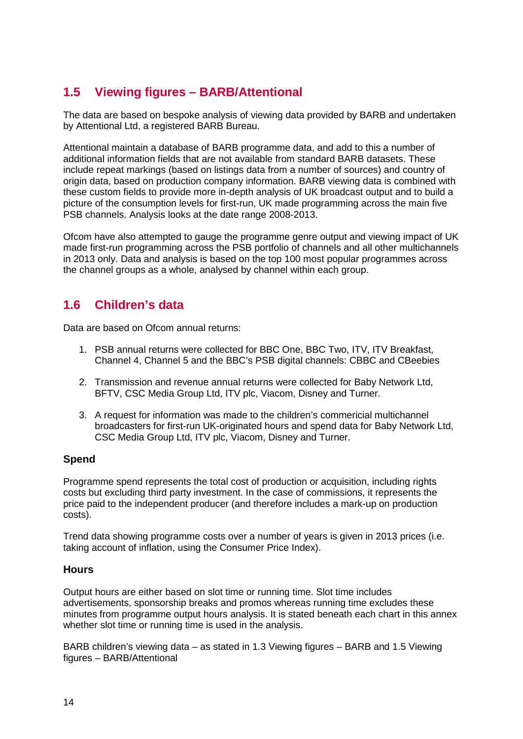# <span id="page-14-0"></span>**1.5 Viewing figures – BARB/Attentional**

The data are based on bespoke analysis of viewing data provided by BARB and undertaken by Attentional Ltd, a registered BARB Bureau.

Attentional maintain a database of BARB programme data, and add to this a number of additional information fields that are not available from standard BARB datasets. These include repeat markings (based on listings data from a number of sources) and country of origin data, based on production company information. BARB viewing data is combined with these custom fields to provide more in-depth analysis of UK broadcast output and to build a picture of the consumption levels for first-run, UK made programming across the main five PSB channels. Analysis looks at the date range 2008-2013.

Ofcom have also attempted to gauge the programme genre output and viewing impact of UK made first-run programming across the PSB portfolio of channels and all other multichannels in 2013 only. Data and analysis is based on the top 100 most popular programmes across the channel groups as a whole, analysed by channel within each group.

# <span id="page-14-1"></span>**1.6 Children's data**

Data are based on Ofcom annual returns:

- 1. PSB annual returns were collected for BBC One, BBC Two, ITV, ITV Breakfast, Channel 4, Channel 5 and the BBC's PSB digital channels: CBBC and CBeebies
- 2. Transmission and revenue annual returns were collected for Baby Network Ltd, BFTV, CSC Media Group Ltd, ITV plc, Viacom, Disney and Turner.
- 3. A request for information was made to the children's commericial multichannel broadcasters for first-run UK-originated hours and spend data for Baby Network Ltd, CSC Media Group Ltd, ITV plc, Viacom, Disney and Turner.

#### **Spend**

Programme spend represents the total cost of production or acquisition, including rights costs but excluding third party investment. In the case of commissions, it represents the price paid to the independent producer (and therefore includes a mark-up on production costs).

Trend data showing programme costs over a number of years is given in 2013 prices (i.e. taking account of inflation, using the Consumer Price Index).

#### **Hours**

Output hours are either based on slot time or running time. Slot time includes advertisements, sponsorship breaks and promos whereas running time excludes these minutes from programme output hours analysis. It is stated beneath each chart in this annex whether slot time or running time is used in the analysis.

BARB children's viewing data – as stated in [1.3](#page-12-0) [Viewing figures –](#page-12-0) BARB and [1.5](#page-14-0) [Viewing](#page-14-0)  figures – [BARB/Attentional](#page-14-0)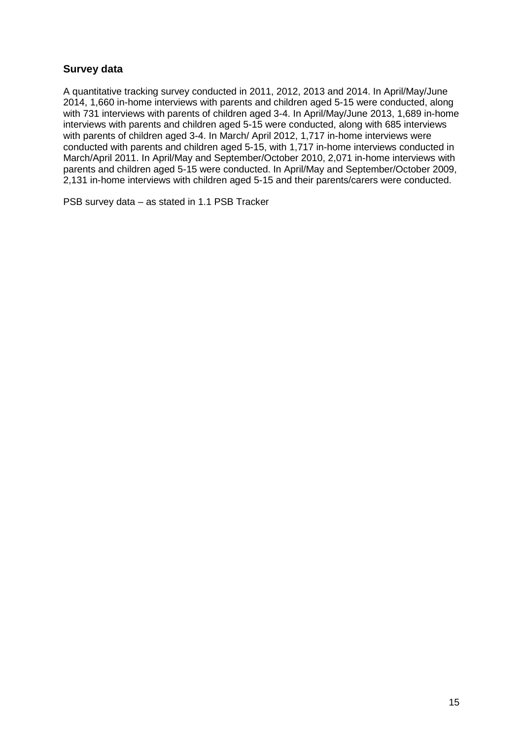## **Survey data**

A quantitative tracking survey conducted in 2011, 2012, 2013 and 2014. In April/May/June 2014, 1,660 in-home interviews with parents and children aged 5-15 were conducted, along with 731 interviews with parents of children aged 3-4. In April/May/June 2013, 1,689 in-home interviews with parents and children aged 5-15 were conducted, along with 685 interviews with parents of children aged 3-4. In March/ April 2012, 1,717 in-home interviews were conducted with parents and children aged 5-15, with 1,717 in-home interviews conducted in March/April 2011. In April/May and September/October 2010, 2,071 in-home interviews with parents and children aged 5-15 were conducted. In April/May and September/October 2009, 2,131 in-home interviews with children aged 5-15 and their parents/carers were conducted.

PSB survey data – as stated in [1.1](#page-2-1) [PSB Tracker](#page-2-1)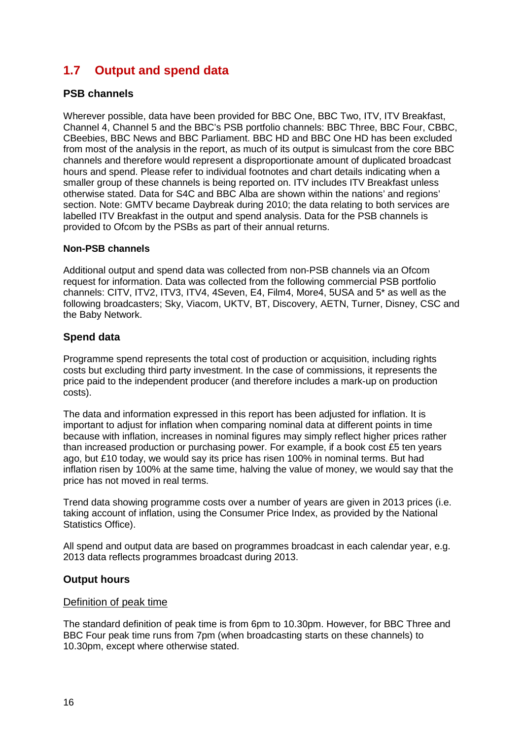# <span id="page-16-0"></span>**1.7 Output and spend data**

#### **PSB channels**

Wherever possible, data have been provided for BBC One, BBC Two, ITV, ITV Breakfast, Channel 4, Channel 5 and the BBC's PSB portfolio channels: BBC Three, BBC Four, CBBC, CBeebies, BBC News and BBC Parliament. BBC HD and BBC One HD has been excluded from most of the analysis in the report, as much of its output is simulcast from the core BBC channels and therefore would represent a disproportionate amount of duplicated broadcast hours and spend. Please refer to individual footnotes and chart details indicating when a smaller group of these channels is being reported on. ITV includes ITV Breakfast unless otherwise stated. Data for S4C and BBC Alba are shown within the nations' and regions' section. Note: GMTV became Daybreak during 2010; the data relating to both services are labelled ITV Breakfast in the output and spend analysis. Data for the PSB channels is provided to Ofcom by the PSBs as part of their annual returns.

#### **Non-PSB channels**

Additional output and spend data was collected from non-PSB channels via an Ofcom request for information. Data was collected from the following commercial PSB portfolio channels: CITV, ITV2, ITV3, ITV4, 4Seven, E4, Film4, More4, 5USA and 5\* as well as the following broadcasters; Sky, Viacom, UKTV, BT, Discovery, AETN, Turner, Disney, CSC and the Baby Network.

#### **Spend data**

Programme spend represents the total cost of production or acquisition, including rights costs but excluding third party investment. In the case of commissions, it represents the price paid to the independent producer (and therefore includes a mark-up on production costs).

The data and information expressed in this report has been adjusted for inflation. It is important to adjust for inflation when comparing nominal data at different points in time because with inflation, increases in nominal figures may simply reflect higher prices rather than increased production or purchasing power. For example, if a book cost £5 ten years ago, but £10 today, we would say its price has risen 100% in nominal terms. But had inflation risen by 100% at the same time, halving the value of money, we would say that the price has not moved in real terms.

Trend data showing programme costs over a number of years are given in 2013 prices (i.e. taking account of inflation, using the Consumer Price Index, as provided by the National Statistics Office).

All spend and output data are based on programmes broadcast in each calendar year, e.g. 2013 data reflects programmes broadcast during 2013.

#### **Output hours**

#### Definition of peak time

The standard definition of peak time is from 6pm to 10.30pm. However, for BBC Three and BBC Four peak time runs from 7pm (when broadcasting starts on these channels) to 10.30pm, except where otherwise stated.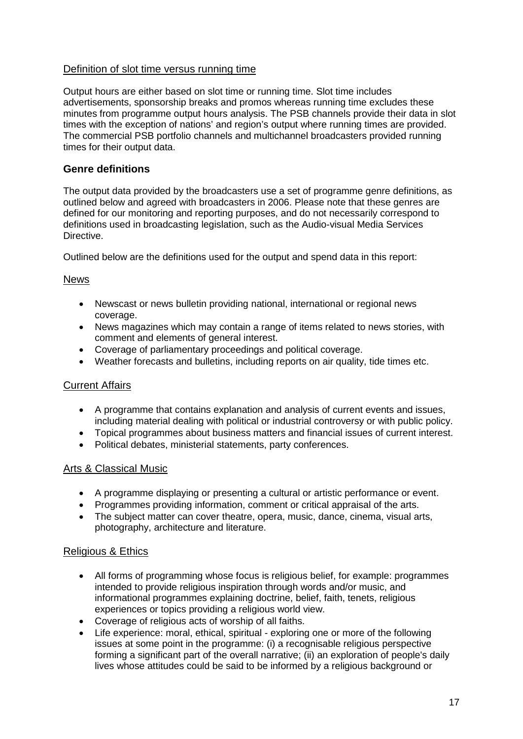#### Definition of slot time versus running time

Output hours are either based on slot time or running time. Slot time includes advertisements, sponsorship breaks and promos whereas running time excludes these minutes from programme output hours analysis. The PSB channels provide their data in slot times with the exception of nations' and region's output where running times are provided. The commercial PSB portfolio channels and multichannel broadcasters provided running times for their output data.

## **Genre definitions**

The output data provided by the broadcasters use a set of programme genre definitions, as outlined below and agreed with broadcasters in 2006. Please note that these genres are defined for our monitoring and reporting purposes, and do not necessarily correspond to definitions used in broadcasting legislation, such as the Audio-visual Media Services Directive.

Outlined below are the definitions used for the output and spend data in this report:

#### News

- Newscast or news bulletin providing national, international or regional news coverage.
- News magazines which may contain a range of items related to news stories, with comment and elements of general interest.
- Coverage of parliamentary proceedings and political coverage.
- Weather forecasts and bulletins, including reports on air quality, tide times etc.

#### Current Affairs

- A programme that contains explanation and analysis of current events and issues, including material dealing with political or industrial controversy or with public policy.
- Topical programmes about business matters and financial issues of current interest.
- Political debates, ministerial statements, party conferences.

#### Arts & Classical Music

- A programme displaying or presenting a cultural or artistic performance or event.
- Programmes providing information, comment or critical appraisal of the arts.
- The subject matter can cover theatre, opera, music, dance, cinema, visual arts, photography, architecture and literature.

#### Religious & Ethics

- All forms of programming whose focus is religious belief, for example: programmes intended to provide religious inspiration through words and/or music, and informational programmes explaining doctrine, belief, faith, tenets, religious experiences or topics providing a religious world view.
- Coverage of religious acts of worship of all faiths.
- Life experience: moral, ethical, spiritual exploring one or more of the following issues at some point in the programme: (i) a recognisable religious perspective forming a significant part of the overall narrative; (ii) an exploration of people's daily lives whose attitudes could be said to be informed by a religious background or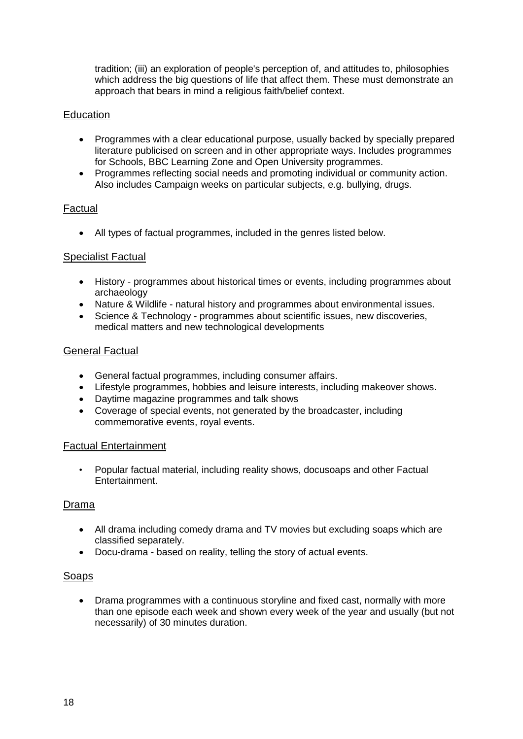tradition; (iii) an exploration of people's perception of, and attitudes to, philosophies which address the big questions of life that affect them. These must demonstrate an approach that bears in mind a religious faith/belief context.

## **Education**

- Programmes with a clear educational purpose, usually backed by specially prepared literature publicised on screen and in other appropriate ways. Includes programmes for Schools, BBC Learning Zone and Open University programmes.
- Programmes reflecting social needs and promoting individual or community action. Also includes Campaign weeks on particular subjects, e.g. bullying, drugs.

#### Factual

• All types of factual programmes, included in the genres listed below.

#### Specialist Factual

- History programmes about historical times or events, including programmes about archaeology
- Nature & Wildlife natural history and programmes about environmental issues.
- Science & Technology programmes about scientific issues, new discoveries, medical matters and new technological developments

#### General Factual

- General factual programmes, including consumer affairs.
- Lifestyle programmes, hobbies and leisure interests, including makeover shows.
- Daytime magazine programmes and talk shows
- Coverage of special events, not generated by the broadcaster, including commemorative events, royal events.

#### Factual Entertainment

• Popular factual material, including reality shows, docusoaps and other Factual Entertainment.

#### Drama

- All drama including comedy drama and TV movies but excluding soaps which are classified separately.
- Docu-drama based on reality, telling the story of actual events.

#### Soaps

• Drama programmes with a continuous storyline and fixed cast, normally with more than one episode each week and shown every week of the year and usually (but not necessarily) of 30 minutes duration.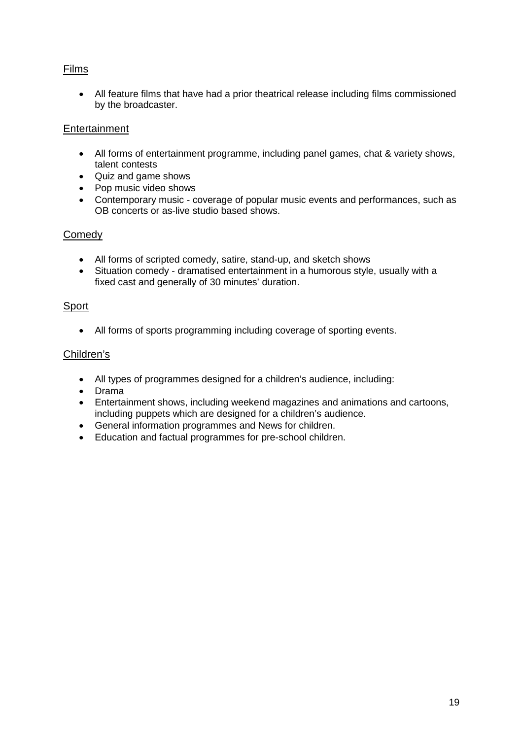## Films

• All feature films that have had a prior theatrical release including films commissioned by the broadcaster.

## Entertainment

- All forms of entertainment programme, including panel games, chat & variety shows, talent contests
- Quiz and game shows
- Pop music video shows
- Contemporary music coverage of popular music events and performances, such as OB concerts or as-live studio based shows.

## **Comedy**

- All forms of scripted comedy, satire, stand-up, and sketch shows
- Situation comedy dramatised entertainment in a humorous style, usually with a fixed cast and generally of 30 minutes' duration.

## **Sport**

• All forms of sports programming including coverage of sporting events.

## Children's

- All types of programmes designed for a children's audience, including:
- Drama
- Entertainment shows, including weekend magazines and animations and cartoons, including puppets which are designed for a children's audience.
- General information programmes and News for children.
- Education and factual programmes for pre-school children.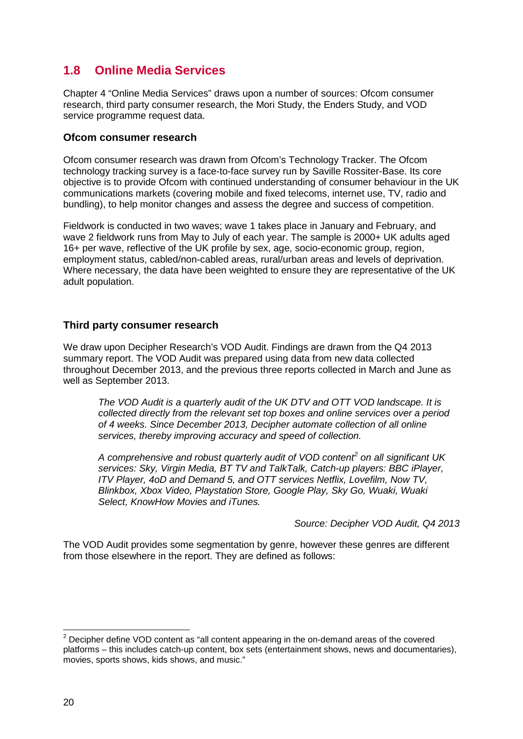# <span id="page-20-0"></span>**1.8 Online Media Services**

Chapter 4 "Online Media Services" draws upon a number of sources: Ofcom consumer research, third party consumer research, the Mori Study, the Enders Study, and VOD service programme request data.

#### **Ofcom consumer research**

Ofcom consumer research was drawn from Ofcom's Technology Tracker. The Ofcom technology tracking survey is a face-to-face survey run by Saville Rossiter-Base. Its core objective is to provide Ofcom with continued understanding of consumer behaviour in the UK communications markets (covering mobile and fixed telecoms, internet use, TV, radio and bundling), to help monitor changes and assess the degree and success of competition.

Fieldwork is conducted in two waves; wave 1 takes place in January and February, and wave 2 fieldwork runs from May to July of each year. The sample is 2000+ UK adults aged 16+ per wave, reflective of the UK profile by sex, age, socio-economic group, region, employment status, cabled/non-cabled areas, rural/urban areas and levels of deprivation. Where necessary, the data have been weighted to ensure they are representative of the UK adult population.

#### **Third party consumer research**

We draw upon Decipher Research's VOD Audit. Findings are drawn from the Q4 2013 summary report. The VOD Audit was prepared using data from new data collected throughout December 2013, and the previous three reports collected in March and June as well as September 2013.

*The VOD Audit is a quarterly audit of the UK DTV and OTT VOD landscape. It is collected directly from the relevant set top boxes and online services over a period of 4 weeks. Since December 2013, Decipher automate collection of all online services, thereby improving accuracy and speed of collection.*

*A comprehensive and robust quarterly audit of VOD content[2](#page-20-1) on all significant UK services: Sky, Virgin Media, BT TV and TalkTalk, Catch-up players: BBC iPlayer, ITV Player, 4oD and Demand 5, and OTT services Netflix, Lovefilm, Now TV, Blinkbox, Xbox Video, Playstation Store, Google Play, Sky Go, Wuaki, Wuaki Select, KnowHow Movies and iTunes.*

*Source: Decipher VOD Audit, Q4 2013*

The VOD Audit provides some segmentation by genre, however these genres are different from those elsewhere in the report. They are defined as follows:

<span id="page-20-1"></span> $2$  Decipher define VOD content as "all content appearing in the on-demand areas of the covered platforms – this includes catch-up content, box sets (entertainment shows, news and documentaries), movies, sports shows, kids shows, and music."  $\overline{a}$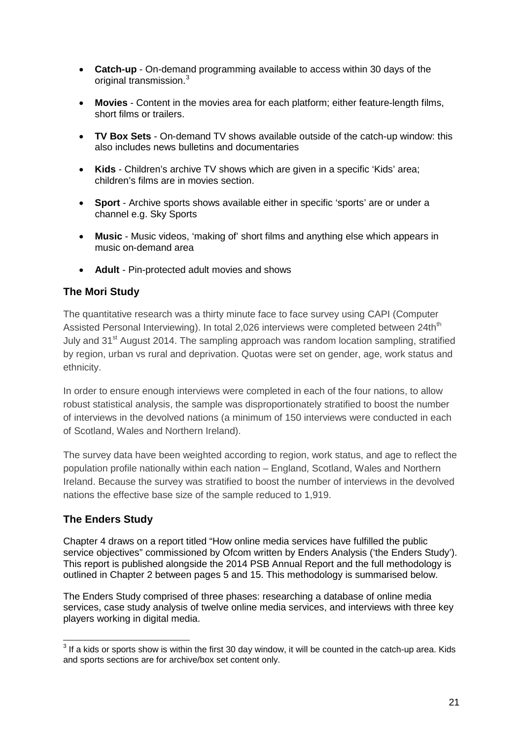- **Catch-up** On-demand programming available to access within 30 days of the original transmission.<sup>[3](#page-21-0)</sup>
- **Movies** Content in the movies area for each platform; either feature-length films, short films or trailers.
- **TV Box Sets** On-demand TV shows available outside of the catch-up window: this also includes news bulletins and documentaries
- **Kids** Children's archive TV shows which are given in a specific 'Kids' area; children's films are in movies section.
- **Sport** Archive sports shows available either in specific 'sports' are or under a channel e.g. Sky Sports
- **Music** Music videos, 'making of' short films and anything else which appears in music on-demand area
- **Adult** Pin-protected adult movies and shows

## **The Mori Study**

The quantitative research was a thirty minute face to face survey using CAPI (Computer Assisted Personal Interviewing). In total 2,026 interviews were completed between 24th<sup>th</sup> July and 31<sup>st</sup> August 2014. The sampling approach was random location sampling, stratified by region, urban vs rural and deprivation. Quotas were set on gender, age, work status and ethnicity.

In order to ensure enough interviews were completed in each of the four nations, to allow robust statistical analysis, the sample was disproportionately stratified to boost the number of interviews in the devolved nations (a minimum of 150 interviews were conducted in each of Scotland, Wales and Northern Ireland).

The survey data have been weighted according to region, work status, and age to reflect the population profile nationally within each nation – England, Scotland, Wales and Northern Ireland. Because the survey was stratified to boost the number of interviews in the devolved nations the effective base size of the sample reduced to 1,919.

## **The Enders Study**

Chapter 4 draws on a report titled "How online media services have fulfilled the public service objectives" commissioned by Ofcom written by Enders Analysis ('the Enders Study'). This report is published alongside the 2014 PSB Annual Report and the full methodology is outlined in Chapter 2 between pages 5 and 15. This methodology is summarised below.

The Enders Study comprised of three phases: researching a database of online media services, case study analysis of twelve online media services, and interviews with three key players working in digital media.

<span id="page-21-0"></span> $3$  If a kids or sports show is within the first 30 day window, it will be counted in the catch-up area. Kids and sports sections are for archive/box set content only.  $\overline{a}$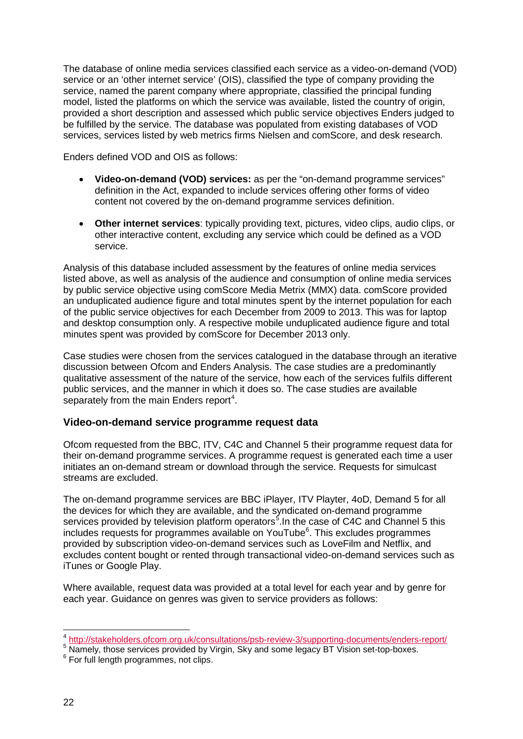The database of online media services classified each service as a video-on-demand (VOD) service or an 'other internet service' (OIS), classified the type of company providing the service, named the parent company where appropriate, classified the principal funding model, listed the platforms on which the service was available, listed the country of origin, provided a short description and assessed which public service objectives Enders judged to be fulfilled by the service. The database was populated from existing databases of VOD services, services listed by web metrics firms Nielsen and comScore, and desk research.

Enders defined VOD and OIS as follows:

- **Video-on-demand (VOD) services:** as per the "on-demand programme services" definition in the Act, expanded to include services offering other forms of video content not covered by the on-demand programme services definition.
- **Other internet services**: typically providing text, pictures, video clips, audio clips, or other interactive content, excluding any service which could be defined as a VOD service.

Analysis of this database included assessment by the features of online media services listed above, as well as analysis of the audience and consumption of online media services by public service objective using comScore Media Metrix (MMX) data. comScore provided an unduplicated audience figure and total minutes spent by the internet population for each of the public service objectives for each December from 2009 to 2013. This was for laptop and desktop consumption only. A respective mobile unduplicated audience figure and total minutes spent was provided by comScore for December 2013 only.

Case studies were chosen from the services catalogued in the database through an iterative discussion between Ofcom and Enders Analysis. The case studies are a predominantly qualitative assessment of the nature of the service, how each of the services fulfils different public services, and the manner in which it does so. The case studies are available separately from the main Enders report<sup>[4](#page-22-0)</sup>.

#### **Video-on-demand service programme request data**

Ofcom requested from the BBC, ITV, C4C and Channel 5 their programme request data for their on-demand programme services. A programme request is generated each time a user initiates an on-demand stream or download through the service. Requests for simulcast streams are excluded.

The on-demand programme services are BBC iPlayer, ITV Playter, 4oD, Demand 5 for all the devices for which they are available, and the syndicated on-demand programme services provided by television platform operators<sup>[5](#page-22-1)</sup>. In the case of C4C and Channel 5 this includes requests for programmes available on YouTube<sup>[6](#page-22-2)</sup>. This excludes programmes provided by subscription video-on-demand services such as LoveFilm and Netflix, and excludes content bought or rented through transactional video-on-demand services such as iTunes or Google Play.

Where available, request data was provided at a total level for each year and by genre for each year. Guidance on genres was given to service providers as follows:

<sup>&</sup>lt;sup>4</sup> http://stakeholders.ofcom.org.uk/consultations/psb-review-3/supporting-documents/enders-report/

<span id="page-22-1"></span><span id="page-22-0"></span><sup>&</sup>lt;sup>5</sup> Namely, those services provided by Virgin, Sky and some legacy BT Vision set-top-boxes.

<span id="page-22-2"></span><sup>&</sup>lt;sup>6</sup> For full length programmes, not clips.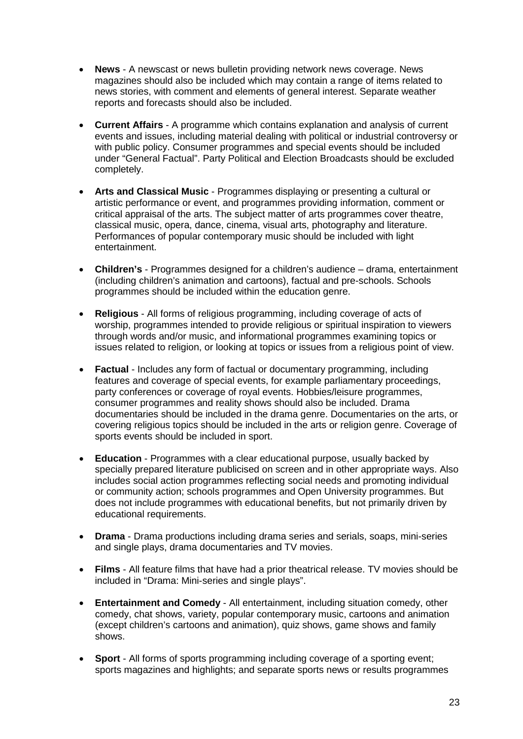- **News** A newscast or news bulletin providing network news coverage. News magazines should also be included which may contain a range of items related to news stories, with comment and elements of general interest. Separate weather reports and forecasts should also be included.
- **Current Affairs** A programme which contains explanation and analysis of current events and issues, including material dealing with political or industrial controversy or with public policy. Consumer programmes and special events should be included under "General Factual". Party Political and Election Broadcasts should be excluded completely.
- **Arts and Classical Music** Programmes displaying or presenting a cultural or artistic performance or event, and programmes providing information, comment or critical appraisal of the arts. The subject matter of arts programmes cover theatre, classical music, opera, dance, cinema, visual arts, photography and literature. Performances of popular contemporary music should be included with light entertainment.
- **Children's**  Programmes designed for a children's audience drama, entertainment (including children's animation and cartoons), factual and pre-schools. Schools programmes should be included within the education genre.
- **Religious** All forms of religious programming, including coverage of acts of worship, programmes intended to provide religious or spiritual inspiration to viewers through words and/or music, and informational programmes examining topics or issues related to religion, or looking at topics or issues from a religious point of view.
- **Factual** Includes any form of factual or documentary programming, including features and coverage of special events, for example parliamentary proceedings, party conferences or coverage of royal events. Hobbies/leisure programmes, consumer programmes and reality shows should also be included. Drama documentaries should be included in the drama genre. Documentaries on the arts, or covering religious topics should be included in the arts or religion genre. Coverage of sports events should be included in sport.
- **Education** Programmes with a clear educational purpose, usually backed by specially prepared literature publicised on screen and in other appropriate ways. Also includes social action programmes reflecting social needs and promoting individual or community action; schools programmes and Open University programmes. But does not include programmes with educational benefits, but not primarily driven by educational requirements.
- **Drama** Drama productions including drama series and serials, soaps, mini-series and single plays, drama documentaries and TV movies.
- **Films** All feature films that have had a prior theatrical release. TV movies should be included in "Drama: Mini-series and single plays".
- **Entertainment and Comedy** All entertainment, including situation comedy, other comedy, chat shows, variety, popular contemporary music, cartoons and animation (except children's cartoons and animation), quiz shows, game shows and family shows.
- **Sport** All forms of sports programming including coverage of a sporting event; sports magazines and highlights; and separate sports news or results programmes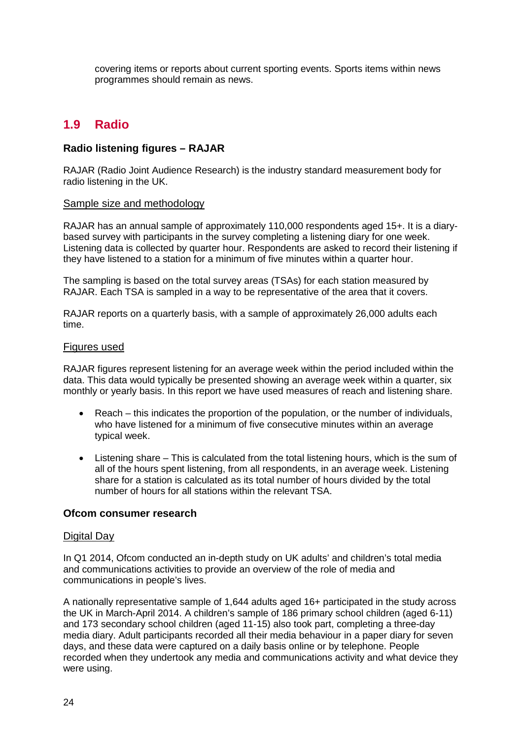covering items or reports about current sporting events. Sports items within news programmes should remain as news.

# <span id="page-24-0"></span>**1.9 Radio**

#### **Radio listening figures – RAJAR**

RAJAR (Radio Joint Audience Research) is the industry standard measurement body for radio listening in the UK.

#### Sample size and methodology

RAJAR has an annual sample of approximately 110,000 respondents aged 15+. It is a diarybased survey with participants in the survey completing a listening diary for one week. Listening data is collected by quarter hour. Respondents are asked to record their listening if they have listened to a station for a minimum of five minutes within a quarter hour.

The sampling is based on the total survey areas (TSAs) for each station measured by RAJAR. Each TSA is sampled in a way to be representative of the area that it covers.

RAJAR reports on a quarterly basis, with a sample of approximately 26,000 adults each time.

#### Figures used

RAJAR figures represent listening for an average week within the period included within the data. This data would typically be presented showing an average week within a quarter, six monthly or yearly basis. In this report we have used measures of reach and listening share.

- Reach this indicates the proportion of the population, or the number of individuals, who have listened for a minimum of five consecutive minutes within an average typical week.
- Listening share This is calculated from the total listening hours, which is the sum of all of the hours spent listening, from all respondents, in an average week. Listening share for a station is calculated as its total number of hours divided by the total number of hours for all stations within the relevant TSA.

#### **Ofcom consumer research**

#### Digital Day

In Q1 2014, Ofcom conducted an in-depth study on UK adults' and children's total media and communications activities to provide an overview of the role of media and communications in people's lives.

A nationally representative sample of 1,644 adults aged 16+ participated in the study across the UK in March-April 2014. A children's sample of 186 primary school children (aged 6-11) and 173 secondary school children (aged 11-15) also took part, completing a three-day media diary. Adult participants recorded all their media behaviour in a paper diary for seven days, and these data were captured on a daily basis online or by telephone. People recorded when they undertook any media and communications activity and what device they were using.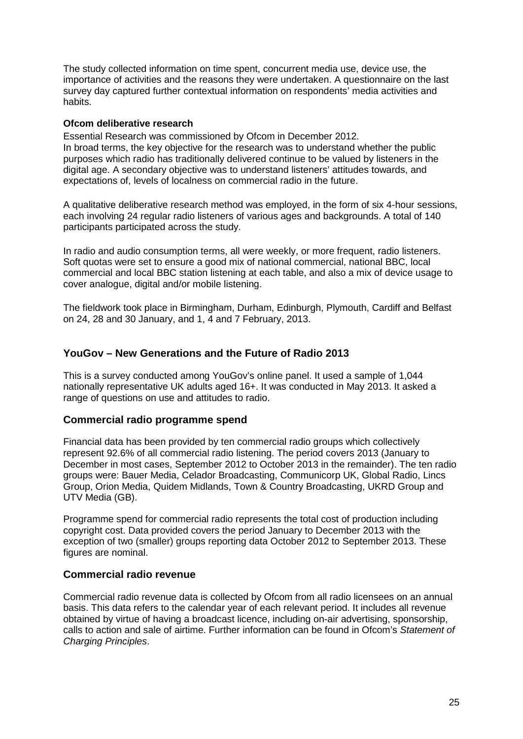The study collected information on time spent, concurrent media use, device use, the importance of activities and the reasons they were undertaken. A questionnaire on the last survey day captured further contextual information on respondents' media activities and habits.

#### **Ofcom deliberative research**

Essential Research was commissioned by Ofcom in December 2012. In broad terms, the key objective for the research was to understand whether the public purposes which radio has traditionally delivered continue to be valued by listeners in the digital age. A secondary objective was to understand listeners' attitudes towards, and expectations of, levels of localness on commercial radio in the future.

A qualitative deliberative research method was employed, in the form of six 4-hour sessions, each involving 24 regular radio listeners of various ages and backgrounds. A total of 140 participants participated across the study.

In radio and audio consumption terms, all were weekly, or more frequent, radio listeners. Soft quotas were set to ensure a good mix of national commercial, national BBC, local commercial and local BBC station listening at each table, and also a mix of device usage to cover analogue, digital and/or mobile listening.

The fieldwork took place in Birmingham, Durham, Edinburgh, Plymouth, Cardiff and Belfast on 24, 28 and 30 January, and 1, 4 and 7 February, 2013.

#### **YouGov – New Generations and the Future of Radio 2013**

This is a survey conducted among YouGov's online panel. It used a sample of 1,044 nationally representative UK adults aged 16+. It was conducted in May 2013. It asked a range of questions on use and attitudes to radio.

#### **Commercial radio programme spend**

Financial data has been provided by ten commercial radio groups which collectively represent 92.6% of all commercial radio listening. The period covers 2013 (January to December in most cases, September 2012 to October 2013 in the remainder). The ten radio groups were: Bauer Media, Celador Broadcasting, Communicorp UK, Global Radio, Lincs Group, Orion Media, Quidem Midlands, Town & Country Broadcasting, UKRD Group and UTV Media (GB).

Programme spend for commercial radio represents the total cost of production including copyright cost. Data provided covers the period January to December 2013 with the exception of two (smaller) groups reporting data October 2012 to September 2013. These figures are nominal.

#### **Commercial radio revenue**

Commercial radio revenue data is collected by Ofcom from all radio licensees on an annual basis. This data refers to the calendar year of each relevant period. It includes all revenue obtained by virtue of having a broadcast licence, including on-air advertising, sponsorship, calls to action and sale of airtime. Further information can be found in Ofcom's *Statement of Charging Principles*.